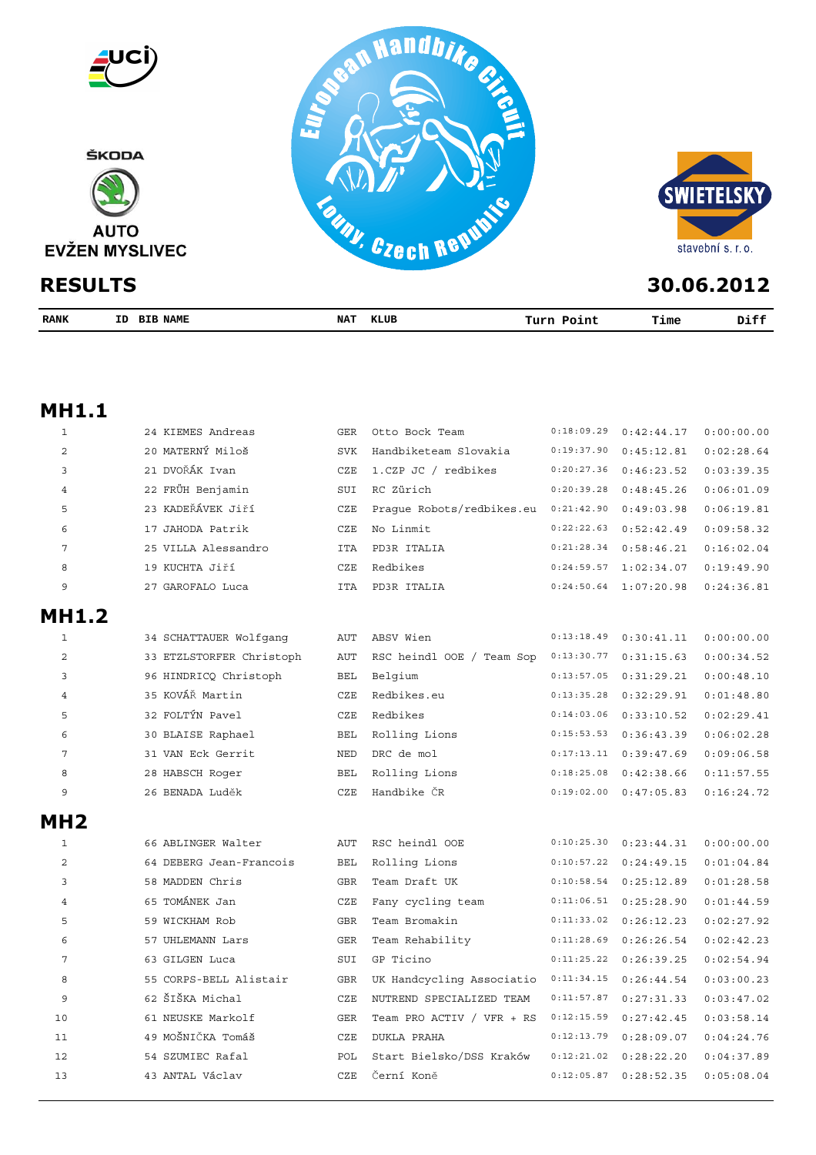

| RANK | ID | <b>NAME</b><br>BIB | <b>NAT</b> | KLUB | .<br>---- | Time | Diff |
|------|----|--------------------|------------|------|-----------|------|------|
|      |    |                    |            |      |           |      |      |

## **MH1.1**

| $\mathbf{1}$   | 24 KIEMES Andreas        | GER        | Otto Bock Team            | 0:18:09.29 | 0:42:44.17 | 0:00:00.00 |
|----------------|--------------------------|------------|---------------------------|------------|------------|------------|
| $\overline{c}$ | 20 MATERNÝ Miloš         | <b>SVK</b> | Handbiketeam Slovakia     | 0:19:37.90 | 0:45:12.81 | 0:02:28.64 |
| 3              | 21 DVOŘÁK Ivan           | CZE        | 1.CZP JC / redbikes       | 0:20:27.36 | 0:46:23.52 | 0:03:39.35 |
| 4              | 22 FRÜH Benjamin         | SUI        | RC Zürich                 | 0:20:39.28 | 0:48:45.26 | 0:06:01.09 |
| 5              | 23 KADEŘÁVEK Jiří        | CZE        | Prague Robots/redbikes.eu | 0:21:42.90 | 0:49:03.98 | 0:06:19.81 |
| 6              | 17 JAHODA Patrik         | CZE        | No Linmit                 | 0:22:22.63 | 0:52:42.49 | 0:09:58.32 |
| 7              | 25 VILLA Alessandro      | <b>ITA</b> | PD3R ITALIA               | 0:21:28.34 | 0:58:46.21 | 0:16:02.04 |
| 8              | 19 KUCHTA Jiří           | CZE        | Redbikes                  | 0:24:59.57 | 1:02:34.07 | 0:19:49.90 |
| 9              | 27 GAROFALO Luca         | <b>ITA</b> | PD3R ITALIA               | 0:24:50.64 | 1:07:20.98 | 0:24:36.81 |
| <b>MH1.2</b>   |                          |            |                           |            |            |            |
| 1              | 34 SCHATTAUER Wolfgang   | AUT        | ABSV Wien                 | 0:13:18.49 | 0:30:41.11 | 0:00:00.00 |
| $\overline{a}$ | 33 ETZLSTORFER Christoph | <b>AUT</b> | RSC heindl OOE / Team Sop | 0:13:30.77 | 0:31:15.63 | 0:00:34.52 |
| 3              | 96 HINDRICQ Christoph    | <b>BEL</b> | Belgium                   | 0:13:57.05 | 0:31:29.21 | 0:00:48.10 |
| 4              | 35 KOVÁŘ Martin          | CZE        | Redbikes.eu               | 0:13:35.28 | 0:32:29.91 | 0:01:48.80 |
| 5              | 32 FOLTÝN Pavel          | CZE        | Redbikes                  | 0:14:03.06 | 0:33:10.52 | 0:02:29.41 |
| 6              | 30 BLAISE Raphael        | <b>BEL</b> | Rolling Lions             | 0:15:53.53 | 0:36:43.39 | 0:06:02.28 |
| 7              | 31 VAN Eck Gerrit        | NED        | DRC de mol                | 0:17:13.11 | 0:39:47.69 | 0:09:06.58 |
| 8              | 28 HABSCH Roger          | <b>BEL</b> | Rolling Lions             | 0:18:25.08 | 0:42:38.66 | 0:11:57.55 |
| 9              | 26 BENADA Luděk          | CZE        | Handbike ČR               | 0:19:02.00 | 0:47:05.83 | 0:16:24.72 |
| MH2            |                          |            |                           |            |            |            |
| $\mathbf{1}$   | 66 ABLINGER Walter       | <b>AUT</b> | RSC heindl OOE            | 0:10:25.30 | 0:23:44.31 | 0:00:00.00 |
| 2              | 64 DEBERG Jean-Francois  | <b>BEL</b> | Rolling Lions             | 0:10:57.22 | 0:24:49.15 | 0:01:04.84 |
| 3              | 58 MADDEN Chris          | <b>GBR</b> | Team Draft UK             | 0:10:58.54 | 0:25:12.89 | 0:01:28.58 |
| 4              | 65 TOMÁNEK Jan           | CZE        | Fany cycling team         | 0:11:06.51 | 0:25:28.90 | 0:01:44.59 |
| 5              | 59 WICKHAM Rob           | <b>GBR</b> | Team Bromakin             | 0:11:33.02 | 0:26:12.23 | 0:02:27.92 |
| 6              | 57 UHLEMANN Lars         | <b>GER</b> | Team Rehability           | 0:11:28.69 | 0:26:26.54 | 0:02:42.23 |
| 7              | 63 GILGEN Luca           | SUI        | GP Ticino                 | 0:11:25.22 | 0:26:39.25 | 0:02:54.94 |
| 8              | 55 CORPS-BELL Alistair   | <b>GBR</b> | UK Handcycling Associatio | 0:11:34.15 | 0:26:44.54 | 0:03:00.23 |
| 9              | 62 ŠIŠKA Michal          | CZE        | NUTREND SPECIALIZED TEAM  | 0:11:57.87 | 0:27:31.33 | 0:03:47.02 |
| 10             | 61 NEUSKE Markolf        | <b>GER</b> | Team PRO ACTIV / VFR + RS | 0:12:15.59 | 0:27:42.45 | 0:03:58.14 |
| 11             | 49 MOŠNIČKA Tomáš        | <b>CZE</b> | <b>DUKLA PRAHA</b>        | 0:12:13.79 | 0:28:09.07 | 0:04:24.76 |
| 12             | 54 SZUMIEC Rafal         | POL        | Start Bielsko/DSS Kraków  | 0:12:21.02 | 0:28:22.20 | 0:04:37.89 |
| 13             | 43 ANTAL Václav          | CZE        | Černí Koně                | 0:12:05.87 | 0:28:52.35 | 0:05:08.04 |
|                |                          |            |                           |            |            |            |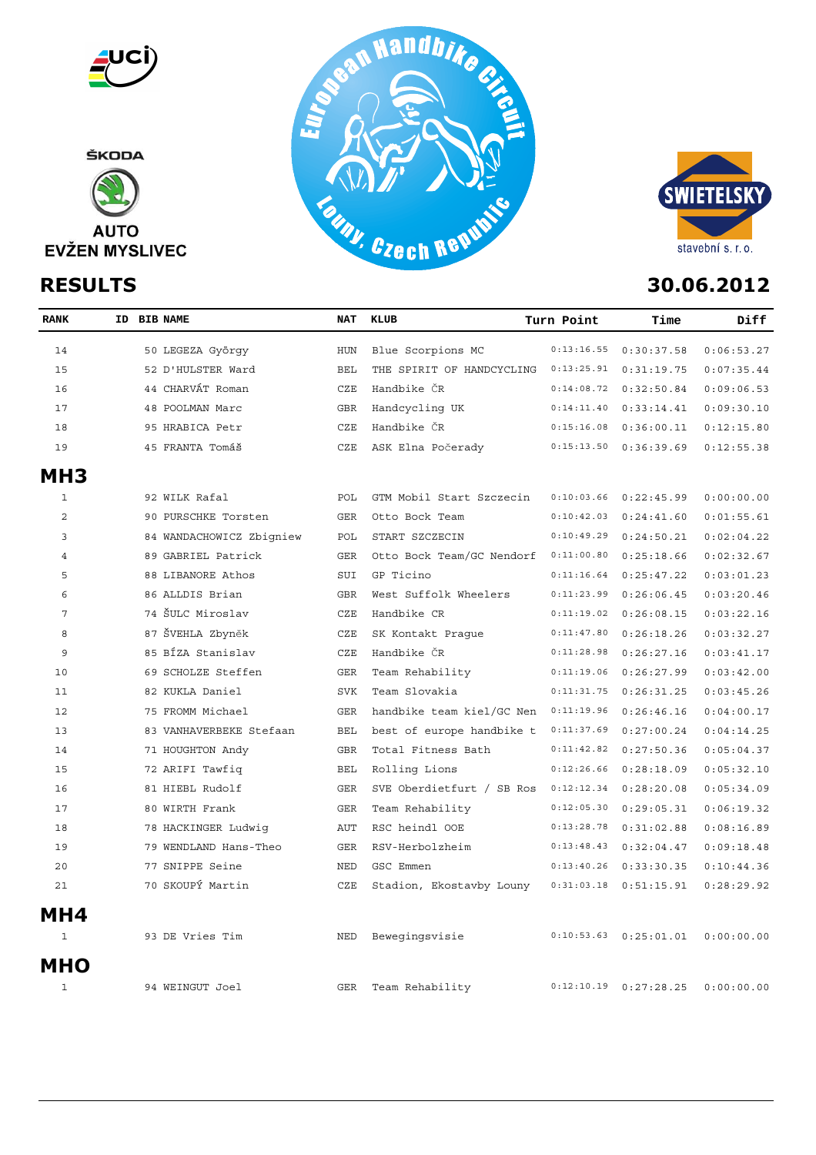

ŠKODA







| <b>RANK</b>     | ID BIB NAME |                          | NAT        | KLUB                      | Turn Point | Time                      | Diff       |
|-----------------|-------------|--------------------------|------------|---------------------------|------------|---------------------------|------------|
| 14              |             | 50 LEGEZA György         | HUN        | Blue Scorpions MC         | 0:13:16.55 | 0:30:37.58                | 0:06:53.27 |
| 15              |             | 52 D'HULSTER Ward        | <b>BEL</b> | THE SPIRIT OF HANDCYCLING | 0:13:25.91 | 0:31:19.75                | 0:07:35.44 |
| 16              |             | 44 CHARVÁT Roman         | CZE        | Handbike ČR               | 0:14:08.72 | 0:32:50.84                | 0:09:06.53 |
| 17              |             | 48 POOLMAN Marc          | <b>GBR</b> | Handcycling UK            | 0:14:11.40 | 0:33:14.41                | 0:09:30.10 |
| 18              |             | 95 HRABICA Petr          | CZE        | Handbike ČR               | 0:15:16.08 | 0:36:00.11                | 0:12:15.80 |
| 19              |             | 45 FRANTA Tomáš          | CZE        | ASK Elna Počerady         | 0:15:13.50 | 0:36:39.69                | 0:12:55.38 |
| MH <sub>3</sub> |             |                          |            |                           |            |                           |            |
| $\mathbf{1}$    |             | 92 WILK Rafal            | POL        | GTM Mobil Start Szczecin  | 0:10:03.66 | 0:22:45.99                | 0:00:00.00 |
| $\overline{2}$  |             | 90 PURSCHKE Torsten      | <b>GER</b> | Otto Bock Team            | 0:10:42.03 | 0:24:41.60                | 0:01:55.61 |
| 3               |             | 84 WANDACHOWICZ Zbigniew | POL        | START SZCZECIN            | 0:10:49.29 | 0:24:50.21                | 0:02:04.22 |
| $\overline{4}$  |             | 89 GABRIEL Patrick       | <b>GER</b> | Otto Bock Team/GC Nendorf | 0:11:00.80 | 0:25:18.66                | 0:02:32.67 |
| 5               |             | 88 LIBANORE Athos        | SUI        | GP Ticino                 | 0:11:16.64 | 0:25:47.22                | 0:03:01.23 |
| 6               |             | 86 ALLDIS Brian          | <b>GBR</b> | West Suffolk Wheelers     | 0:11:23.99 | 0:26:06.45                | 0:03:20.46 |
| $\overline{7}$  |             | 74 ŠULC Miroslav         | CZE        | Handbike CR               | 0:11:19.02 | 0:26:08.15                | 0:03:22.16 |
| 8               |             | 87 ŠVEHLA Zbyněk         | CZE        | SK Kontakt Praque         | 0:11:47.80 | 0:26:18.26                | 0:03:32.27 |
| 9               |             | 85 BÍZA Stanislav        | CZE        | Handbike ČR               | 0:11:28.98 | 0:26:27.16                | 0:03:41.17 |
| 10              |             | 69 SCHOLZE Steffen       | <b>GER</b> | Team Rehability           | 0:11:19.06 | 0:26:27.99                | 0:03:42.00 |
| 11              |             | 82 KUKLA Daniel          | <b>SVK</b> | Team Slovakia             | 0:11:31.75 | 0:26:31.25                | 0:03:45.26 |
| 12              |             | 75 FROMM Michael         | <b>GER</b> | handbike team kiel/GC Nen | 0:11:19.96 | 0:26:46.16                | 0:04:00.17 |
| 13              |             | 83 VANHAVERBEKE Stefaan  | <b>BEL</b> | best of europe handbike t | 0:11:37.69 | 0:27:00.24                | 0:04:14.25 |
| 14              |             | 71 HOUGHTON Andy         | <b>GBR</b> | Total Fitness Bath        | 0:11:42.82 | 0:27:50.36                | 0:05:04.37 |
| 15              |             | 72 ARIFI Tawfiq          | <b>BEL</b> | Rolling Lions             | 0:12:26.66 | 0:28:18.09                | 0:05:32.10 |
| 16              |             | 81 HIEBL Rudolf          | <b>GER</b> | SVE Oberdietfurt / SB Ros | 0:12:12.34 | 0:28:20.08                | 0:05:34.09 |
| 17              |             | 80 WIRTH Frank           | <b>GER</b> | Team Rehability           | 0:12:05.30 | 0:29:05.31                | 0:06:19.32 |
| 18              |             | 78 HACKINGER Ludwig      | <b>AUT</b> | RSC heindl OOE            | 0:13:28.78 | 0:31:02.88                | 0:08:16.89 |
| 19              |             | 79 WENDLAND Hans-Theo    | <b>GER</b> | RSV-Herbolzheim           | 0:13:48.43 | 0:32:04.47                | 0:09:18.48 |
| 20              |             | 77 SNIPPE Seine          | <b>NED</b> | GSC Emmen                 | 0:13:40.26 | 0:33:30.35                | 0:10:44.36 |
| 21              |             | 70 SKOUPÝ Martin         | CZE        | Stadion, Ekostavby Louny  | 0:31:03.18 | 0:51:15.91                | 0:28:29.92 |
| MH4             |             |                          |            |                           |            |                           |            |
| $\mathbf{1}$    |             | 93 DE Vries Tim          | <b>NED</b> | Bewegingsvisie            | 0:10:53.63 | 0:25:01.01                | 0:00:00.00 |
| <b>MHO</b>      |             |                          |            |                           |            |                           |            |
| $\mathbf{1}$    |             | 94 WEINGUT Joel          | <b>GER</b> | Team Rehability           |            | $0:12:10.19$ $0:27:28.25$ | 0:00:00.00 |